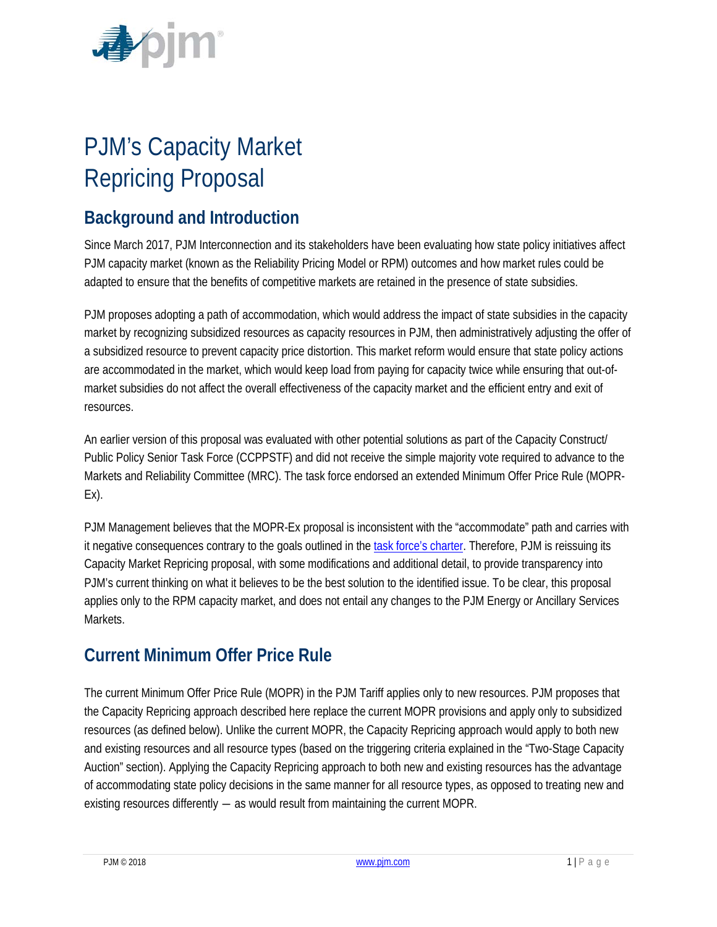

# PJM's Capacity Market Repricing Proposal

# **Background and Introduction**

Since March 2017, PJM Interconnection and its stakeholders have been evaluating how state policy initiatives affect PJM capacity market (known as the Reliability Pricing Model or RPM) outcomes and how market rules could be adapted to ensure that the benefits of competitive markets are retained in the presence of state subsidies.

PJM proposes adopting a path of accommodation, which would address the impact of state subsidies in the capacity market by recognizing subsidized resources as capacity resources in PJM, then administratively adjusting the offer of a subsidized resource to prevent capacity price distortion. This market reform would ensure that state policy actions are accommodated in the market, which would keep load from paying for capacity twice while ensuring that out-ofmarket subsidies do not affect the overall effectiveness of the capacity market and the efficient entry and exit of resources.

An earlier version of this proposal was evaluated with other potential solutions as part of the [Capacity Construct/](http://www.pjm.com/committees-and-groups/task-forces/ccppstf.aspx)  [Public Policy Senior Task Force \(CCPPSTF\)](http://www.pjm.com/committees-and-groups/task-forces/ccppstf.aspx) and did not receive the simple majority vote required to advance to the Markets and Reliability Committee (MRC). The task force endorsed an extended Minimum Offer Price Rule (MOPR-Ex).

PJM Management believes that the MOPR-Ex proposal is inconsistent with the "accommodate" path and carries with it negative consequences contrary to the goals outlined in the [task force's charter.](http://www.pjm.com/-/media/committees-groups/task-forces/ccppstf/postings/ccppstf-charter.ashx?la=en) Therefore, PJM is reissuing its Capacity Market Repricing proposal, with some modifications and additional detail, to provide transparency into PJM's current thinking on what it believes to be the best solution to the identified issue. To be clear, this proposal applies only to the RPM capacity market, and does not entail any changes to the PJM Energy or Ancillary Services Markets.

# **Current Minimum Offer Price Rule**

The current Minimum Offer Price Rule (MOPR) in the PJM Tariff applies only to new resources. PJM proposes that the Capacity Repricing approach described here replace the current MOPR provisions and apply only to subsidized resources (as defined below). Unlike the current MOPR, the Capacity Repricing approach would apply to both new and existing resources and all resource types (based on the triggering criteria explained in the ["Two-Stage Capacity](#page-1-0)  [Auction"](#page-1-0) section). Applying the Capacity Repricing approach to both new and existing resources has the advantage of accommodating state policy decisions in the same manner for all resource types, as opposed to treating new and existing resources differently ― as would result from maintaining the current MOPR.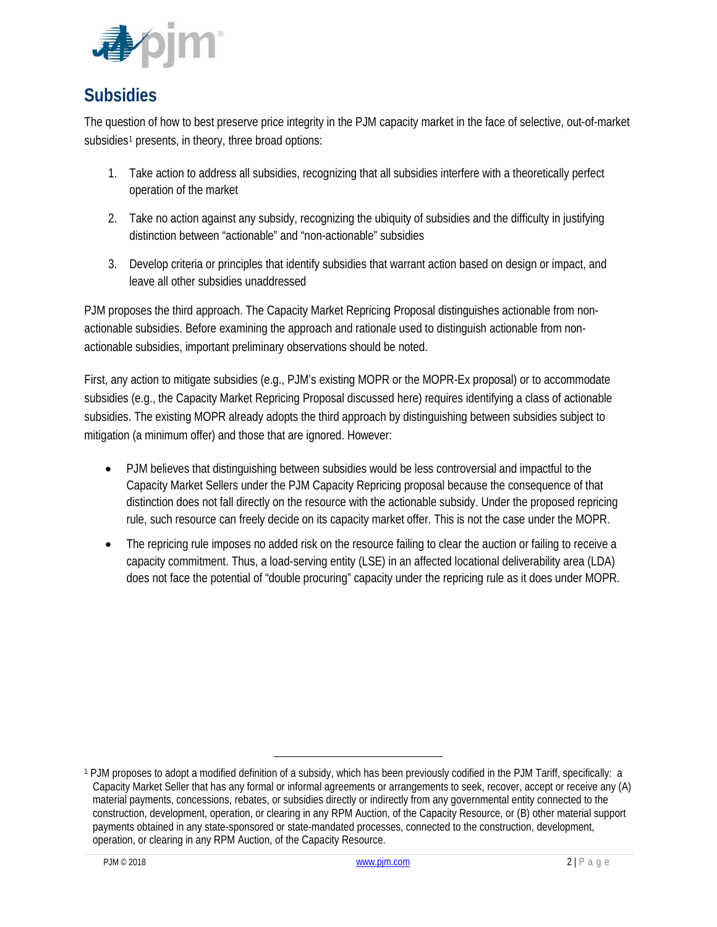

# <span id="page-1-0"></span>**Subsidies**

The question of how to best preserve price integrity in the PJM capacity market in the face of selective, out-of-market subsidies<sup>[1](#page-1-1)</sup> presents, in theory, three broad options:

- 1. Take action to address all subsidies, recognizing that all subsidies interfere with a theoretically perfect operation of the market
- 2. Take no action against any subsidy, recognizing the ubiquity of subsidies and the difficulty in justifying distinction between "actionable" and "non-actionable" subsidies
- 3. Develop criteria or principles that identify subsidies that warrant action based on design or impact, and leave all other subsidies unaddressed

PJM proposes the third approach. The Capacity Market Repricing Proposal distinguishes actionable from nonactionable subsidies. Before examining the approach and rationale used to distinguish actionable from nonactionable subsidies, important preliminary observations should be noted.

First, any action to mitigate subsidies (e.g., PJM's existing MOPR or the MOPR-Ex proposal) or to accommodate subsidies (e.g., the Capacity Market Repricing Proposal discussed here) requires identifying a class of actionable subsidies. The existing MOPR already adopts the third approach by distinguishing between subsidies subject to mitigation (a minimum offer) and those that are ignored. However:

- PJM believes that distinguishing between subsidies would be less controversial and impactful to the Capacity Market Sellers under the PJM Capacity Repricing proposal because the consequence of that distinction does not fall directly on the resource with the actionable subsidy. Under the proposed repricing rule, such resource can freely decide on its capacity market offer. This is not the case under the MOPR.
- The repricing rule imposes no added risk on the resource failing to clear the auction or failing to receive a capacity commitment. Thus, a load-serving entity (LSE) in an affected locational deliverability area (LDA) does not face the potential of "double procuring" capacity under the repricing rule as it does under MOPR.

<span id="page-1-1"></span><sup>1</sup> PJM proposes to adopt a modified definition of a subsidy, which has been previously codified in the PJM Tariff, specifically: a Capacity Market Seller that has any formal or informal agreements or arrangements to seek, recover, accept or receive any (A) material payments, concessions, rebates, or subsidies directly or indirectly from any governmental entity connected to the construction, development, operation, or clearing in any RPM Auction, of the Capacity Resource, or (B) other material support payments obtained in any state-sponsored or state-mandated processes, connected to the construction, development, operation, or clearing in any RPM Auction, of the Capacity Resource.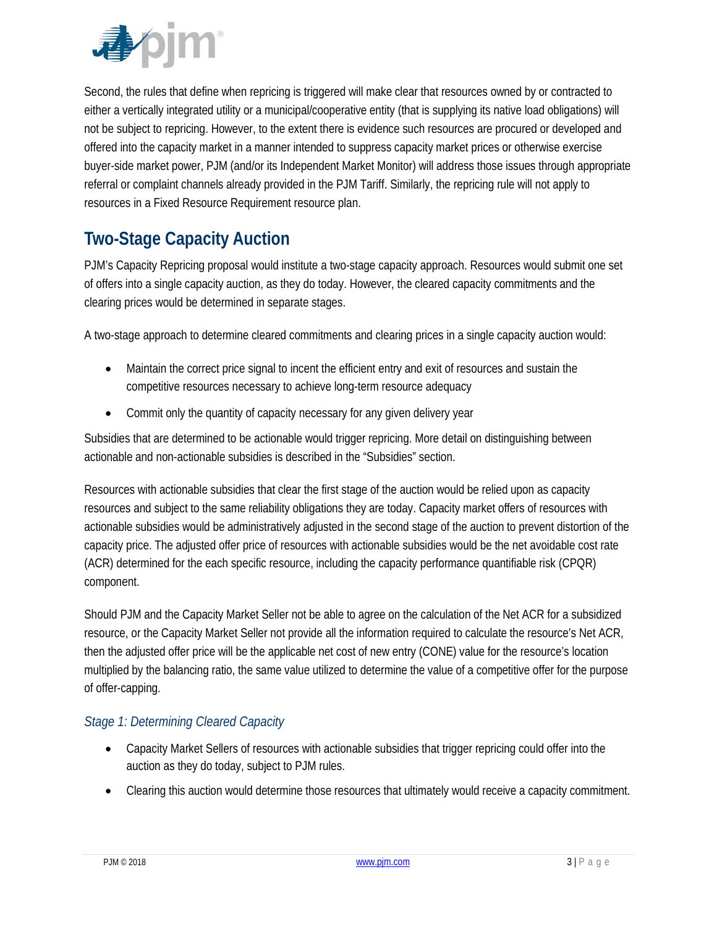

Second, the rules that define when repricing is triggered will make clear that resources owned by or contracted to either a vertically integrated utility or a municipal/cooperative entity (that is supplying its native load obligations) will not be subject to repricing. However, to the extent there is evidence such resources are procured or developed and offered into the capacity market in a manner intended to suppress capacity market prices or otherwise exercise buyer-side market power, PJM (and/or its Independent Market Monitor) will address those issues through appropriate referral or complaint channels already provided in the PJM Tariff. Similarly, the repricing rule will not apply to resources in a Fixed Resource Requirement resource plan.

# **Two-Stage Capacity Auction**

PJM's Capacity Repricing proposal would institute a two-stage capacity approach. Resources would submit one set of offers into a single capacity auction, as they do today. However, the cleared capacity commitments and the clearing prices would be determined in separate stages.

A two-stage approach to determine cleared commitments and clearing prices in a single capacity auction would:

- Maintain the correct price signal to incent the efficient entry and exit of resources and sustain the competitive resources necessary to achieve long-term resource adequacy
- Commit only the quantity of capacity necessary for any given delivery year

Subsidies that are determined to be actionable would trigger repricing. More detail on distinguishing between actionable and non-actionable subsidies is described in the ["Subsidies"](#page-1-0) section.

Resources with actionable subsidies that clear the first stage of the auction would be relied upon as capacity resources and subject to the same reliability obligations they are today. Capacity market offers of resources with actionable subsidies would be administratively adjusted in the second stage of the auction to prevent distortion of the capacity price. The adjusted offer price of resources with actionable subsidies would be the net avoidable cost rate (ACR) determined for the each specific resource, including the capacity performance quantifiable risk (CPQR) component.

Should PJM and the Capacity Market Seller not be able to agree on the calculation of the Net ACR for a subsidized resource, or the Capacity Market Seller not provide all the information required to calculate the resource's Net ACR, then the adjusted offer price will be the applicable net cost of new entry (CONE) value for the resource's location multiplied by the balancing ratio, the same value utilized to determine the value of a competitive offer for the purpose of offer-capping.

### *Stage 1: Determining Cleared Capacity*

- Capacity Market Sellers of resources with actionable subsidies that trigger repricing could offer into the auction as they do today, subject to PJM rules.
- Clearing this auction would determine those resources that ultimately would receive a capacity commitment.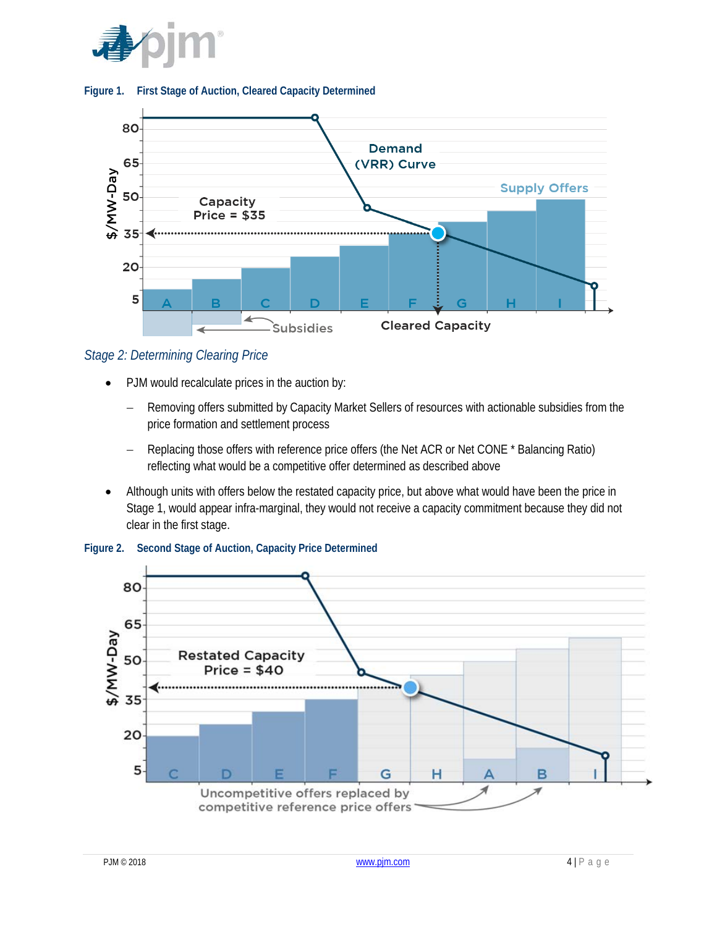





*Stage 2: Determining Clearing Price*

- PJM would recalculate prices in the auction by:
	- Removing offers submitted by Capacity Market Sellers of resources with actionable subsidies from the price formation and settlement process
	- − Replacing those offers with reference price offers (the Net ACR or Net CONE \* Balancing Ratio) reflecting what would be a competitive offer determined as described above
- Although units with offers below the restated capacity price, but above what would have been the price in Stage 1, would appear infra-marginal, they would not receive a capacity commitment because they did not clear in the first stage.



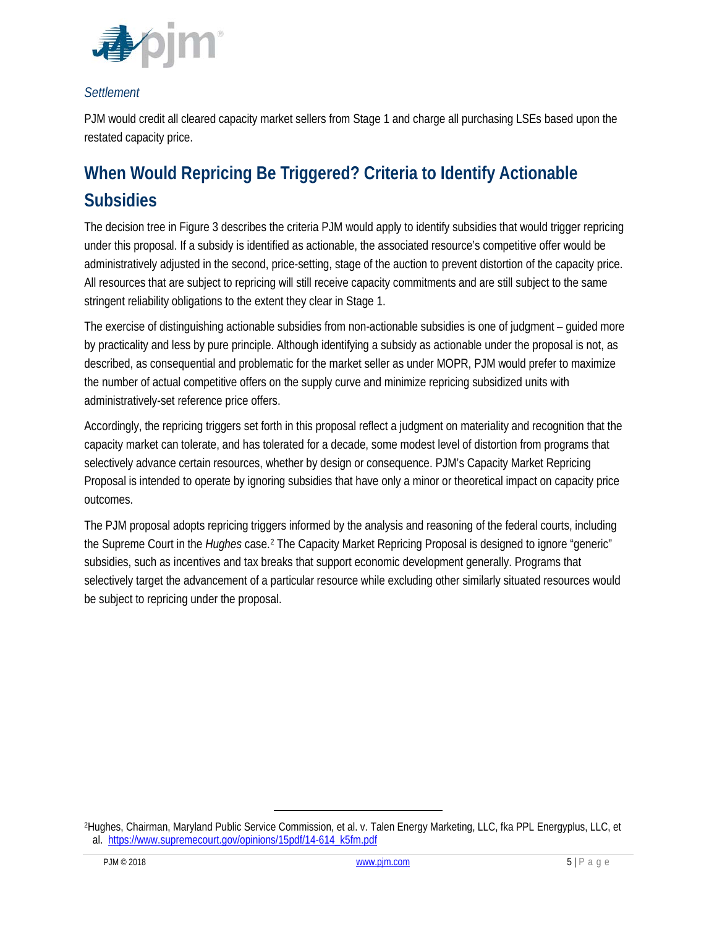

#### *Settlement*

PJM would credit all cleared capacity market sellers from Stage 1 and charge all purchasing LSEs based upon the restated capacity price.

# **When Would Repricing Be Triggered? Criteria to Identify Actionable Subsidies**

The decision tree in [Figure 3](#page-5-0) describes the criteria PJM would apply to identify subsidies that would trigger repricing under this proposal. If a subsidy is identified as actionable, the associated resource's competitive offer would be administratively adjusted in the second, price-setting, stage of the auction to prevent distortion of the capacity price. All resources that are subject to repricing will still receive capacity commitments and are still subject to the same stringent reliability obligations to the extent they clear in Stage 1.

The exercise of distinguishing actionable subsidies from non-actionable subsidies is one of judgment – guided more by practicality and less by pure principle. Although identifying a subsidy as actionable under the proposal is not, as described, as consequential and problematic for the market seller as under MOPR, PJM would prefer to maximize the number of actual competitive offers on the supply curve and minimize repricing subsidized units with administratively-set reference price offers.

Accordingly, the repricing triggers set forth in this proposal reflect a judgment on materiality and recognition that the capacity market can tolerate, and has tolerated for a decade, some modest level of distortion from programs that selectively advance certain resources, whether by design or consequence. PJM's Capacity Market Repricing Proposal is intended to operate by ignoring subsidies that have only a minor or theoretical impact on capacity price outcomes.

The PJM proposal adopts repricing triggers informed by the analysis and reasoning of the federal courts, including the Supreme Court in the *Hughes* case.[2](#page-4-0) The Capacity Market Repricing Proposal is designed to ignore "generic" subsidies, such as incentives and tax breaks that support economic development generally. Programs that selectively target the advancement of a particular resource while excluding other similarly situated resources would be subject to repricing under the proposal.

<span id="page-4-0"></span><sup>2</sup>Hughes, Chairman, Maryland Public Service Commission, et al. v. Talen Energy Marketing, LLC, fka PPL Energyplus, LLC, et al. [https://www.supremecourt.gov/opinions/15pdf/14-614\\_k5fm.pdf](https://www.supremecourt.gov/opinions/15pdf/14-614_k5fm.pdf)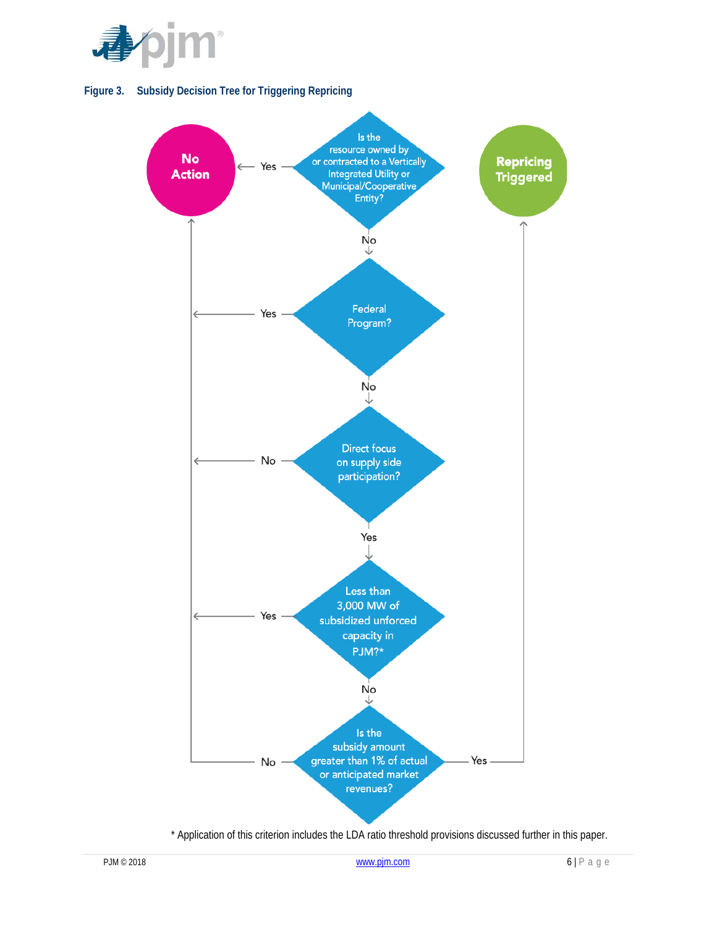

<span id="page-5-0"></span>



\* Application of this criterion includes the LDA ratio threshold provisions discussed further in this paper.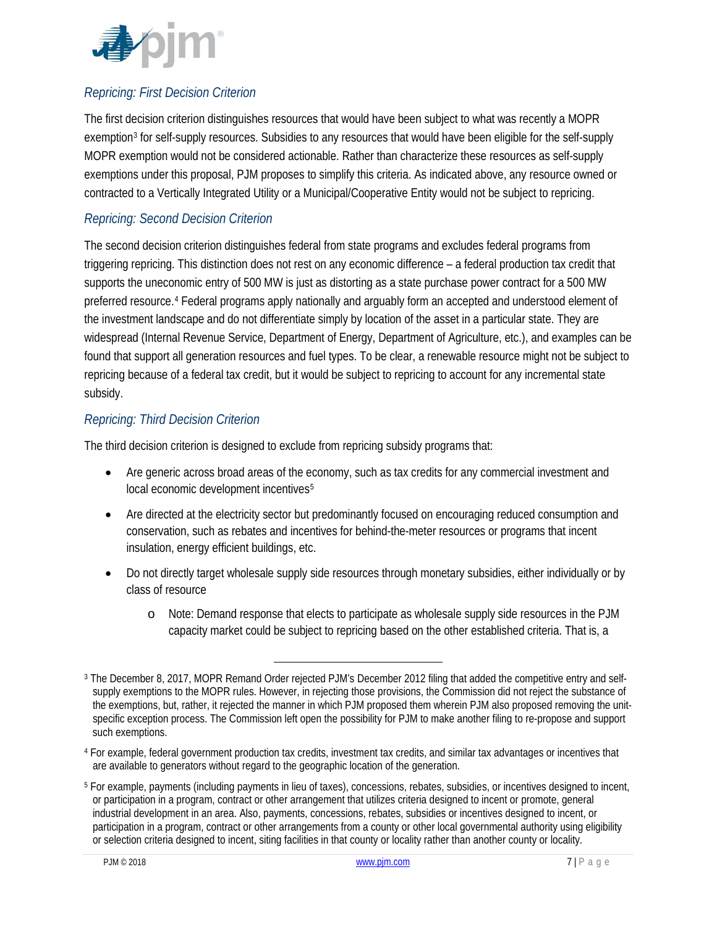

# *Repricing: First Decision Criterion*

The first decision criterion distinguishes resources that would have been subject to what was recently a MOPR exemption<sup>[3](#page-6-0)</sup> for self-supply resources. Subsidies to any resources that would have been eligible for the self-supply MOPR exemption would not be considered actionable. Rather than characterize these resources as self-supply exemptions under this proposal, PJM proposes to simplify this criteria. As indicated above, any resource owned or contracted to a Vertically Integrated Utility or a Municipal/Cooperative Entity would not be subject to repricing.

### *Repricing: Second Decision Criterion*

The second decision criterion distinguishes federal from state programs and excludes federal programs from triggering repricing. This distinction does not rest on any economic difference – a federal production tax credit that supports the uneconomic entry of 500 MW is just as distorting as a state purchase power contract for a 500 MW preferred resource.[4](#page-6-1) Federal programs apply nationally and arguably form an accepted and understood element of the investment landscape and do not differentiate simply by location of the asset in a particular state. They are widespread (Internal Revenue Service, Department of Energy, Department of Agriculture, etc.), and examples can be found that support all generation resources and fuel types. To be clear, a renewable resource might not be subject to repricing because of a federal tax credit, but it would be subject to repricing to account for any incremental state subsidy.

### *Repricing: Third Decision Criterion*

The third decision criterion is designed to exclude from repricing subsidy programs that:

- Are generic across broad areas of the economy, such as tax credits for any commercial investment and local economic development incentives<sup>[5](#page-6-2)</sup>
- Are directed at the electricity sector but predominantly focused on encouraging reduced consumption and conservation, such as rebates and incentives for behind-the-meter resources or programs that incent insulation, energy efficient buildings, etc.
- Do not directly target wholesale supply side resources through monetary subsidies, either individually or by class of resource
	- o Note: Demand response that elects to participate as wholesale supply side resources in the PJM capacity market could be subject to repricing based on the other established criteria. That is, a

<span id="page-6-0"></span><sup>3</sup> The December 8, 2017, MOPR Remand Order rejected PJM's December 2012 filing that added the competitive entry and selfsupply exemptions to the MOPR rules. However, in rejecting those provisions, the Commission did not reject the substance of the exemptions, but, rather, it rejected the manner in which PJM proposed them wherein PJM also proposed removing the unitspecific exception process. The Commission left open the possibility for PJM to make another filing to re-propose and support such exemptions.

<span id="page-6-1"></span><sup>4</sup> For example, federal government production tax credits, investment tax credits, and similar tax advantages or incentives that are available to generators without regard to the geographic location of the generation.

<span id="page-6-2"></span><sup>5</sup> For example, payments (including payments in lieu of taxes), concessions, rebates, subsidies, or incentives designed to incent, or participation in a program, contract or other arrangement that utilizes criteria designed to incent or promote, general industrial development in an area. Also, payments, concessions, rebates, subsidies or incentives designed to incent, or participation in a program, contract or other arrangements from a county or other local governmental authority using eligibility or selection criteria designed to incent, siting facilities in that county or locality rather than another county or locality.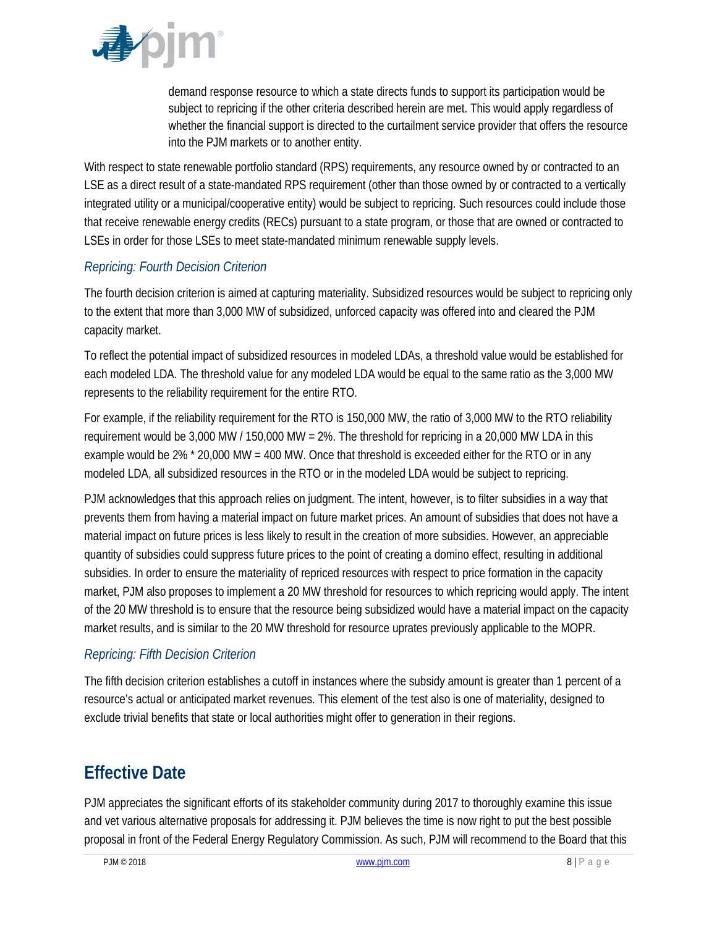

demand response resource to which a state directs funds to support its participation would be subject to repricing if the other criteria described herein are met. This would apply regardless of whether the financial support is directed to the curtailment service provider that offers the resource into the PJM markets or to another entity.

With respect to state renewable portfolio standard (RPS) requirements, any resource owned by or contracted to an LSE as a direct result of a state-mandated RPS requirement (other than those owned by or contracted to a vertically integrated utility or a municipal/cooperative entity) would be subject to repricing. Such resources could include those that receive renewable energy credits (RECs) pursuant to a state program, or those that are owned or contracted to LSEs in order for those LSEs to meet state-mandated minimum renewable supply levels.

# *Repricing: Fourth Decision Criterion*

The fourth decision criterion is aimed at capturing materiality. Subsidized resources would be subject to repricing only to the extent that more than 3,000 MW of subsidized, unforced capacity was offered into and cleared the PJM capacity market.

To reflect the potential impact of subsidized resources in modeled LDAs, a threshold value would be established for each modeled LDA. The threshold value for any modeled LDA would be equal to the same ratio as the 3,000 MW represents to the reliability requirement for the entire RTO.

For example, if the reliability requirement for the RTO is 150,000 MW, the ratio of 3,000 MW to the RTO reliability requirement would be 3,000 MW / 150,000 MW = 2%. The threshold for repricing in a 20,000 MW LDA in this example would be 2% \* 20,000 MW = 400 MW. Once that threshold is exceeded either for the RTO or in any modeled LDA, all subsidized resources in the RTO or in the modeled LDA would be subject to repricing.

PJM acknowledges that this approach relies on judgment. The intent, however, is to filter subsidies in a way that prevents them from having a material impact on future market prices. An amount of subsidies that does not have a material impact on future prices is less likely to result in the creation of more subsidies. However, an appreciable quantity of subsidies could suppress future prices to the point of creating a domino effect, resulting in additional subsidies. In order to ensure the materiality of repriced resources with respect to price formation in the capacity market, PJM also proposes to implement a 20 MW threshold for resources to which repricing would apply. The intent of the 20 MW threshold is to ensure that the resource being subsidized would have a material impact on the capacity market results, and is similar to the 20 MW threshold for resource uprates previously applicable to the MOPR.

### *Repricing: Fifth Decision Criterion*

The fifth decision criterion establishes a cutoff in instances where the subsidy amount is greater than 1 percent of a resource's actual or anticipated market revenues. This element of the test also is one of materiality, designed to exclude trivial benefits that state or local authorities might offer to generation in their regions.

# **Effective Date**

PJM appreciates the significant efforts of its stakeholder community during 2017 to thoroughly examine this issue and vet various alternative proposals for addressing it. PJM believes the time is now right to put the best possible proposal in front of the Federal Energy Regulatory Commission. As such, PJM will recommend to the Board that this